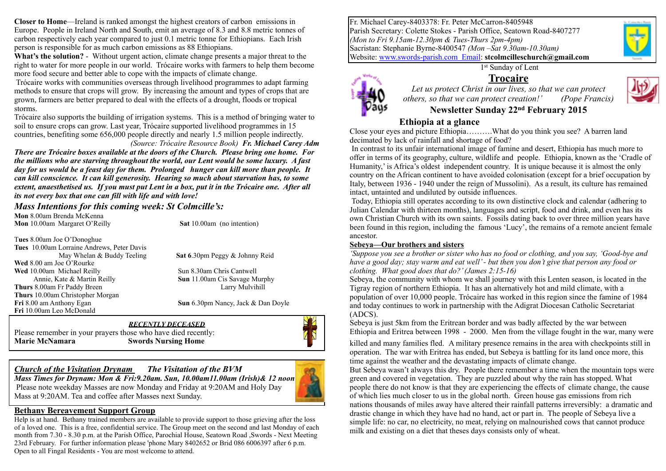**Closer to Home**—Ireland is ranked amongst the highest creators of carbon emissions in Europe. People in Ireland North and South, emit an average of 8.3 and 8.8 metric tonnes of carbon respectively each year compared to just 0.1 metric tonne for Ethiopians. Each Irish person is responsible for as much carbon emissions as 88 Ethiopians.

**What's the solution?** - Without urgent action, climate change presents a major threat to the right to water for more people in our world. Trócaire works with farmers to help them become more food secure and better able to cope with the impacts of climate change.

 Trócaire works with communities overseas through livelihood programmes to adapt farming methods to ensure that crops will grow. By increasing the amount and types of crops that are grown, farmers are better prepared to deal with the effects of a drought, floods or tropical storms.

Trócaire also supports the building of irrigation systems. This is a method of bringing water to soil to ensure crops can grow. Last year, Trócaire supported livelihood programmes in 15 countries, benefiting some 656,000 people directly and nearly 1.5 million people indirectly.

*(Source: Trócaire Resource Book) Fr. Michael Carey Adm There are Trócaire boxes available at the doors of the Church. Please bring one home. For the millions who are starving throughout the world, our Lent would be some luxury. A fast day for us would be a feast day for them. Prolonged hunger can kill more than people. It can kill conscience. It can kill generosity. Hearing so much about starvation has, to some* 

*extent, anaesthetised us. If you must put Lent in a box, put it in the Trócaire one. After all its not every box that one can fill with life and with love!* 

### *Mass Intentions for this coming week: St Colmcille's:*

**Mon** 8.00am Brenda McKenna **Mon** 10.00am Margaret O'Reilly **Sat** 10.00am (no intention)

T**ues** 8.00am Joe O'Donoghue **Tues** 10.00am Lorraine Andrews, Peter Davis **Wed** 8.00 am Joe O'Rourke **Wed** 10.00am Michael Reilly Sun 8.30am Chris Cantwell Annie, Kate & Martin Reilly **Sun** 11.00am Cis Savage Murphy **Thurs** 8.00am Fr Paddy Breen Larry Mulvihill Larry Mulvihill **Thurs** 10.00am Christopher Morgan **Fri** 8.00 am Anthony Egan **Sun 6.30pm Nancy, Jack & Dan Doyle Fri** 10.00am Leo McDonald

May Whelan & Buddy Teeling Sat 6.30pm Peggy & Johnny Reid

#### *RECENTLY DECEASED*  Please remember in your prayers those who have died recently: **Marie McNamara Swords Nursing Home**



*Church of the Visitation Drynam**The Visitation of the BVM Mass Times for Drynam: Mon & Fri:9.20am. Sun, 10.00am11.00am (Irish)& 12 noon* Please note weekday Masses are now Monday and Friday at 9:20AM and Holy Day Mass at 9:20AM. Tea and coffee after Masses next Sunday.

#### **Bethany Bereavement Support Group**

Help is at hand. Bethany trained members are available to provide support to those grieving after the loss of a loved one. This is a free, confidential service. The Group meet on the second and last Monday of each month from 7.30 - 8.30 p.m. at the Parish Office, Parochial House, Seatown Road ,Swords - Next Meeting 23rd February. For further information please 'phone Mary 8402652 or Brid 086 6006397 after 6 p.m. Open to all Fingal Residents - You are most welcome to attend.

Fr. Michael Carey-8403378: Fr. Peter McCarron-8405948 Parish Secretary: Colette Stokes - Parish Office, Seatown Road-8407277 *(Mon to Fri 9.15am-12.30pm & Tues-Thurs 2pm-4pm)* Sacristan: Stephanie Byrne-8400547 *(Mon –Sat 9.30am-10.30am)*  Website: [www.swords-parish.com Email:](http://www.swords-parish.com%20%20email) **stcolmcilleschurch@gmail.com**

1<sup>st</sup> Sunday of Lent





### *Let us protect Christ in our lives, so that we can protect others, so that we can protect creation!' (Pope Francis)*

### **Newsletter Sunday 22nd February 2015**

### **Ethiopia at a glance**

Close your eyes and picture Ethiopia……….What do you think you see? A barren land decimated by lack of rainfall and shortage of food?

 In contrast to its unfair international image of famine and desert, Ethiopia has much more to offer in terms of its geography, culture, wildlife and people. Ethiopia, known as the 'Cradle of Humanity,' is Africa's oldest independent country. It is unique because it is almost the only country on the African continent to have avoided colonisation (except for a brief occupation by Italy, between 1936 - 1940 under the reign of Mussolini). As a result, its culture has remained intact, untainted and undiluted by outside influences.

 Today, Ethiopia still operates according to its own distinctive clock and calendar (adhering to Julian Calendar with thirteen months), languages and script, food and drink, and even has its own Christian Church with its own saints. Fossils dating back to over three million years have been found in this region, including the famous 'Lucy', the remains of a remote ancient female ancestor.

#### **Sebeya—Our brothers and sisters**

*'Suppose you see a brother or sister who has no food or clothing, and you say, 'Good-bye and have a good day; stay warm and eat well' - but then you don't give that person any food or clothing. What good does that do?' (James 2:15-16)* 

Sebeya, the community with whom we shall journey with this Lenten season, is located in the Tigray region of northern Ethiopia. It has an alternatively hot and mild climate, with a population of over 10,000 people. Trócaire has worked in this region since the famine of 1984 and today continues to work in partnership with the Adigrat Diocesan Catholic Secretariat (ADCS).

Sebeya is just 5km from the Eritrean border and was badly affected by the war between Ethiopia and Eritrea between 1998 - 2000. Men from the village fought in the war, many were

killed and many families fled. A military presence remains in the area with checkpoints still in operation. The war with Eritrea has ended, but Sebeya is battling for its land once more, this time against the weather and the devastating impacts of climate change.

But Sebeya wasn't always this dry. People there remember a time when the mountain tops were green and covered in vegetation. They are puzzled about why the rain has stopped. What people there do not know is that they are experiencing the effects of climate change, the cause of which lies much closer to us in the global north. Green house gas emissions from rich nations thousands of miles away have altered their rainfall patterns irreversibly: a dramatic and drastic change in which they have had no hand, act or part in. The people of Sebeya live a simple life: no car, no electricity, no meat, relying on malnourished cows that cannot produce milk and existing on a diet that theses days consists only of wheat.